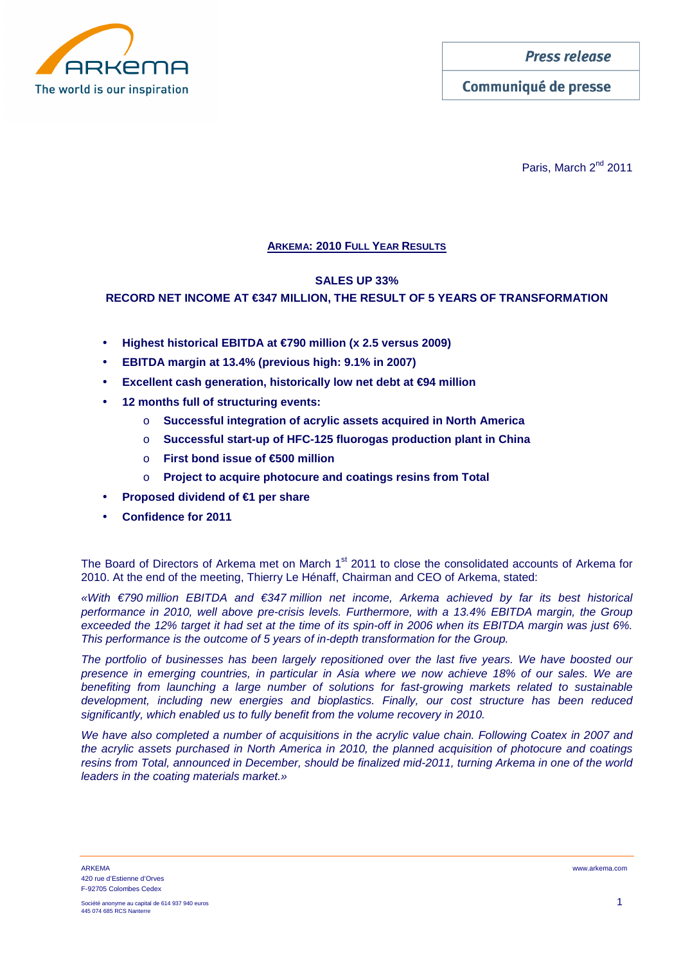

Communiqué de presse

Paris, March 2<sup>nd</sup> 2011

# **ARKEMA: 2010 FULL YEAR RESULTS**

# **SALES UP 33%**

# **RECORD NET INCOME AT €347 MILLION, THE RESULT OF 5 YEARS OF TRANSFORMATION**

- **Highest historical EBITDA at €790 million (x 2.5 versus 2009)**
- **EBITDA margin at 13.4% (previous high: 9.1% in 2007)**
- **Excellent cash generation, historically low net debt at €94 million**
- **12 months full of structuring events:** 
	- o **Successful integration of acrylic assets acquired in North America**
	- o **Successful start-up of HFC-125 fluorogas production plant in China**
	- o **First bond issue of €500 million**
	- o **Project to acquire photocure and coatings resins from Total**
- **Proposed dividend of €1 per share**
- **Confidence for 2011**

The Board of Directors of Arkema met on March 1<sup>st</sup> 2011 to close the consolidated accounts of Arkema for 2010. At the end of the meeting, Thierry Le Hénaff, Chairman and CEO of Arkema, stated:

«With €790 million EBITDA and €347 million net income, Arkema achieved by far its best historical performance in 2010, well above pre-crisis levels. Furthermore, with a 13.4% EBITDA margin, the Group exceeded the 12% target it had set at the time of its spin-off in 2006 when its EBITDA margin was just 6%. This performance is the outcome of 5 years of in-depth transformation for the Group.

The portfolio of businesses has been largely repositioned over the last five years. We have boosted our presence in emerging countries, in particular in Asia where we now achieve 18% of our sales. We are benefiting from launching a large number of solutions for fast-growing markets related to sustainable development, including new energies and bioplastics. Finally, our cost structure has been reduced significantly, which enabled us to fully benefit from the volume recovery in 2010.

We have also completed a number of acquisitions in the acrylic value chain. Following Coatex in 2007 and the acrylic assets purchased in North America in 2010, the planned acquisition of photocure and coatings resins from Total, announced in December, should be finalized mid-2011, turning Arkema in one of the world leaders in the coating materials market.»

ARKEMA www.arkema.com 420 rue d'Estienne d'Orves F-92705 Colombes Cedex

Société anonyme au capital de 614 937 940 euros 1 445 074 685 RCS Nante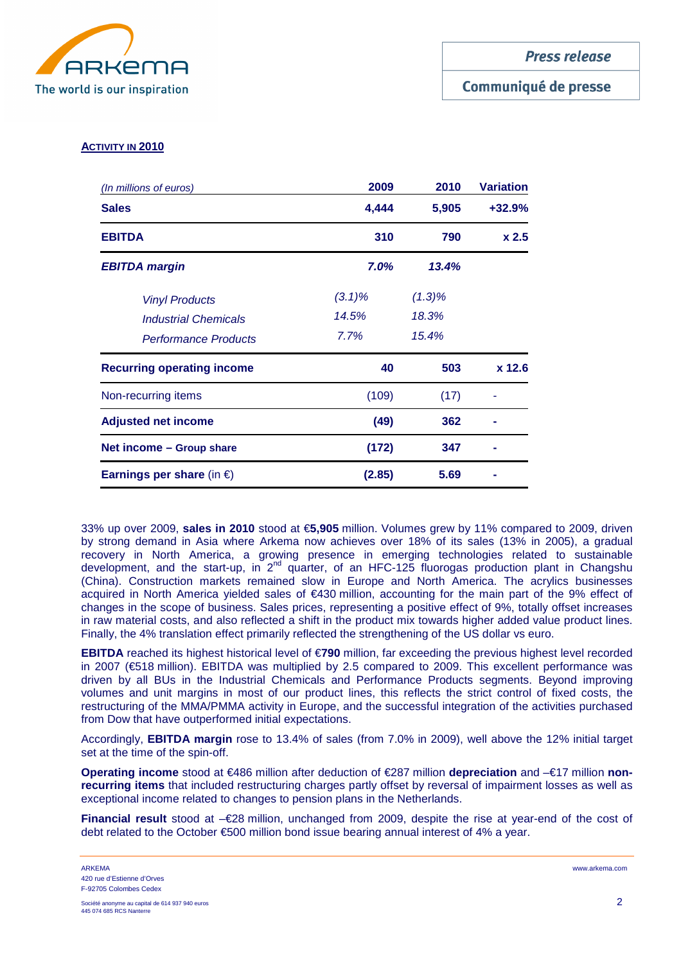

# Communiqué de presse

# **ACTIVITY IN 2010**

| (In millions of euros)              | 2009      | 2010      | <b>Variation</b> |  |
|-------------------------------------|-----------|-----------|------------------|--|
| <b>Sales</b>                        | 4,444     | 5,905     | $+32.9%$         |  |
| <b>EBITDA</b>                       | 310       | 790       | x <sub>2.5</sub> |  |
| 7.0%<br><b>EBITDA margin</b>        |           | 13.4%     |                  |  |
| <b>Vinyl Products</b>               | $(3.1)\%$ | $(1.3)\%$ |                  |  |
| <b>Industrial Chemicals</b>         | 14.5%     | 18.3%     |                  |  |
| <b>Performance Products</b>         | 7.7%      | 15.4%     |                  |  |
| <b>Recurring operating income</b>   | 40        | 503       | $x$ 12.6         |  |
| Non-recurring items                 | (109)     | (17)      |                  |  |
| <b>Adjusted net income</b>          | (49)      | 362       |                  |  |
| Net income – Group share            | (172)     | 347       |                  |  |
| Earnings per share (in $\epsilon$ ) | (2.85)    | 5.69      |                  |  |

33% up over 2009, **sales in 2010** stood at €**5,905** million. Volumes grew by 11% compared to 2009, driven by strong demand in Asia where Arkema now achieves over 18% of its sales (13% in 2005), a gradual recovery in North America, a growing presence in emerging technologies related to sustainable development, and the start-up, in  $2^{nd}$  quarter, of an HFC-125 fluorogas production plant in Changshu (China). Construction markets remained slow in Europe and North America. The acrylics businesses acquired in North America yielded sales of €430 million, accounting for the main part of the 9% effect of changes in the scope of business. Sales prices, representing a positive effect of 9%, totally offset increases in raw material costs, and also reflected a shift in the product mix towards higher added value product lines. Finally, the 4% translation effect primarily reflected the strengthening of the US dollar vs euro.

**EBITDA** reached its highest historical level of €**790** million, far exceeding the previous highest level recorded in 2007 (€518 million). EBITDA was multiplied by 2.5 compared to 2009. This excellent performance was driven by all BUs in the Industrial Chemicals and Performance Products segments. Beyond improving volumes and unit margins in most of our product lines, this reflects the strict control of fixed costs, the restructuring of the MMA/PMMA activity in Europe, and the successful integration of the activities purchased from Dow that have outperformed initial expectations.

Accordingly, **EBITDA margin** rose to 13.4% of sales (from 7.0% in 2009), well above the 12% initial target set at the time of the spin-off.

**Operating income** stood at €486 million after deduction of €287 million **depreciation** and –€17 million **nonrecurring items** that included restructuring charges partly offset by reversal of impairment losses as well as exceptional income related to changes to pension plans in the Netherlands.

**Financial result** stood at –€28 million, unchanged from 2009, despite the rise at year-end of the cost of debt related to the October €500 million bond issue bearing annual interest of 4% a year.

ARKEMA www.arkema.com 420 rue d'Estienne d'Orves F-92705 Colombes Cedex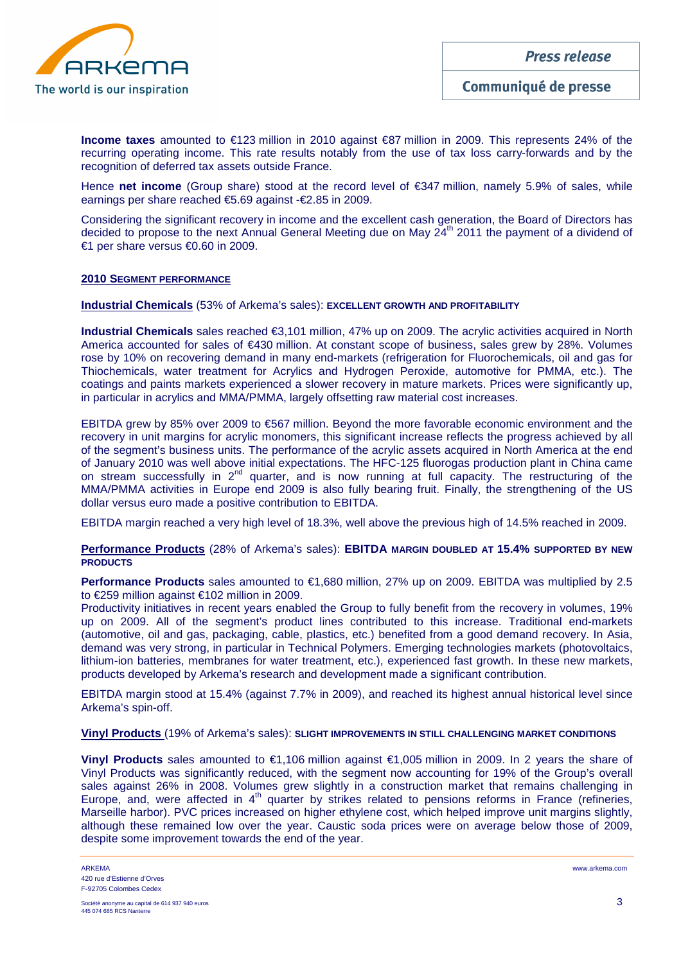

**Income taxes** amounted to €123 million in 2010 against €87 million in 2009. This represents 24% of the recurring operating income. This rate results notably from the use of tax loss carry-forwards and by the recognition of deferred tax assets outside France.

Hence **net income** (Group share) stood at the record level of €347 million, namely 5.9% of sales, while earnings per share reached €5.69 against -€2.85 in 2009.

Considering the significant recovery in income and the excellent cash generation, the Board of Directors has decided to propose to the next Annual General Meeting due on May  $24<sup>th</sup>$  2011 the payment of a dividend of €1 per share versus €0.60 in 2009.

## **2010 SEGMENT PERFORMANCE**

**Industrial Chemicals** (53% of Arkema's sales): **EXCELLENT GROWTH AND PROFITABILITY** 

**Industrial Chemicals** sales reached €3,101 million, 47% up on 2009. The acrylic activities acquired in North America accounted for sales of €430 million. At constant scope of business, sales grew by 28%. Volumes rose by 10% on recovering demand in many end-markets (refrigeration for Fluorochemicals, oil and gas for Thiochemicals, water treatment for Acrylics and Hydrogen Peroxide, automotive for PMMA, etc.). The coatings and paints markets experienced a slower recovery in mature markets. Prices were significantly up, in particular in acrylics and MMA/PMMA, largely offsetting raw material cost increases.

EBITDA grew by 85% over 2009 to €567 million. Beyond the more favorable economic environment and the recovery in unit margins for acrylic monomers, this significant increase reflects the progress achieved by all of the segment's business units. The performance of the acrylic assets acquired in North America at the end of January 2010 was well above initial expectations. The HFC-125 fluorogas production plant in China came on stream successfully in 2<sup>nd</sup> quarter, and is now running at full capacity. The restructuring of the MMA/PMMA activities in Europe end 2009 is also fully bearing fruit. Finally, the strengthening of the US dollar versus euro made a positive contribution to EBITDA.

EBITDA margin reached a very high level of 18.3%, well above the previous high of 14.5% reached in 2009.

#### **Performance Products** (28% of Arkema's sales): **EBITDA MARGIN DOUBLED AT 15.4% SUPPORTED BY NEW PRODUCTS**

**Performance Products** sales amounted to €1,680 million, 27% up on 2009. EBITDA was multiplied by 2.5 to €259 million against €102 million in 2009.

Productivity initiatives in recent years enabled the Group to fully benefit from the recovery in volumes, 19% up on 2009. All of the segment's product lines contributed to this increase. Traditional end-markets (automotive, oil and gas, packaging, cable, plastics, etc.) benefited from a good demand recovery. In Asia, demand was very strong, in particular in Technical Polymers. Emerging technologies markets (photovoltaics, lithium-ion batteries, membranes for water treatment, etc.), experienced fast growth. In these new markets, products developed by Arkema's research and development made a significant contribution.

EBITDA margin stood at 15.4% (against 7.7% in 2009), and reached its highest annual historical level since Arkema's spin-off.

#### **Vinyl Products** (19% of Arkema's sales): **SLIGHT IMPROVEMENTS IN STILL CHALLENGING MARKET CONDITIONS**

**Vinyl Products** sales amounted to €1,106 million against €1,005 million in 2009. In 2 years the share of Vinyl Products was significantly reduced, with the segment now accounting for 19% of the Group's overall sales against 26% in 2008. Volumes grew slightly in a construction market that remains challenging in Europe, and, were affected in  $4<sup>th</sup>$  quarter by strikes related to pensions reforms in France (refineries, Marseille harbor). PVC prices increased on higher ethylene cost, which helped improve unit margins slightly, although these remained low over the year. Caustic soda prices were on average below those of 2009, despite some improvement towards the end of the year.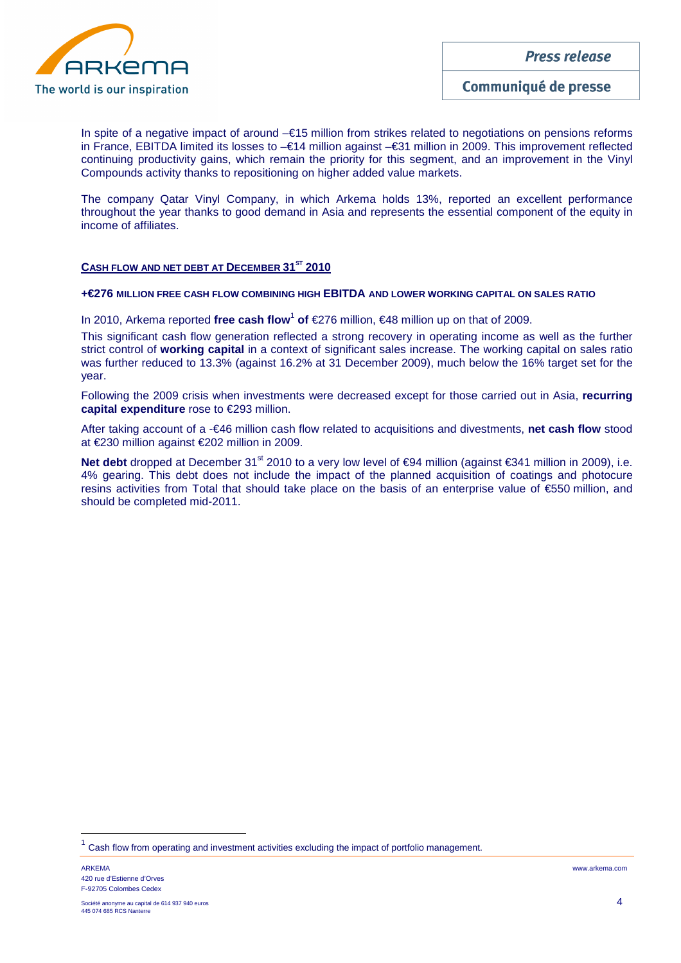

In spite of a negative impact of around –€15 million from strikes related to negotiations on pensions reforms in France, EBITDA limited its losses to –€14 million against –€31 million in 2009. This improvement reflected continuing productivity gains, which remain the priority for this segment, and an improvement in the Vinyl Compounds activity thanks to repositioning on higher added value markets.

The company Qatar Vinyl Company, in which Arkema holds 13%, reported an excellent performance throughout the year thanks to good demand in Asia and represents the essential component of the equity in income of affiliates.

# **CASH FLOW AND NET DEBT AT DECEMBER 31ST 2010**

# **+€276 MILLION FREE CASH FLOW COMBINING HIGH EBITDA AND LOWER WORKING CAPITAL ON SALES RATIO**

In 2010, Arkema reported free cash flow<sup>1</sup> of €276 million, €48 million up on that of 2009.

This significant cash flow generation reflected a strong recovery in operating income as well as the further strict control of **working capital** in a context of significant sales increase. The working capital on sales ratio was further reduced to 13.3% (against 16.2% at 31 December 2009), much below the 16% target set for the year.

Following the 2009 crisis when investments were decreased except for those carried out in Asia, **recurring capital expenditure** rose to €293 million.

After taking account of a -€46 million cash flow related to acquisitions and divestments, **net cash flow** stood at €230 million against €202 million in 2009.

Net debt dropped at December 31<sup>st</sup> 2010 to a very low level of €94 million (against €341 million in 2009), i.e. 4% gearing. This debt does not include the impact of the planned acquisition of coatings and photocure resins activities from Total that should take place on the basis of an enterprise value of €550 million, and should be completed mid-2011.

 $\overline{a}$ 

<sup>1</sup> Cash flow from operating and investment activities excluding the impact of portfolio management.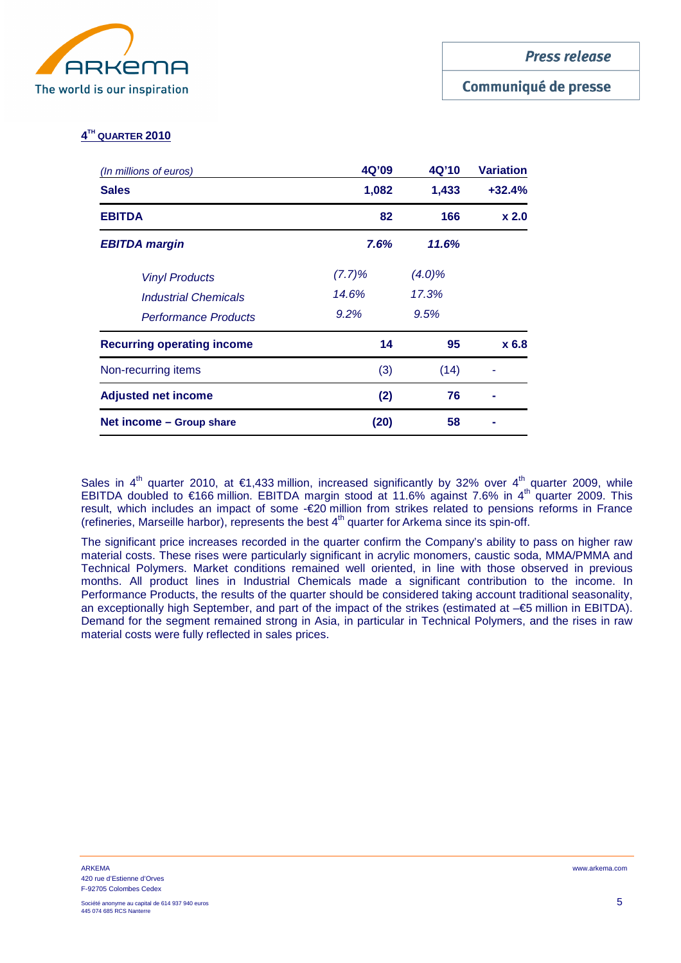

# Communiqué de presse

# **4 TH QUARTER 2010**

| 4Q'09<br>(In millions of euros)   |        | 4Q'10     | <b>Variation</b> |
|-----------------------------------|--------|-----------|------------------|
| <b>Sales</b><br>1,082             |        | 1,433     | $+32.4%$         |
| <b>EBITDA</b>                     | 82     | 166       | x <sub>2.0</sub> |
| <b>EBITDA margin</b>              | 7.6%   | 11.6%     |                  |
| <b>Vinyl Products</b>             | (7.7)% | $(4.0)\%$ |                  |
| <b>Industrial Chemicals</b>       | 14.6%  | 17.3%     |                  |
| <b>Performance Products</b>       | 9.2%   | 9.5%      |                  |
| <b>Recurring operating income</b> | 14     | 95        | x 6.8            |
| Non-recurring items               | (3)    | (14)      |                  |
| <b>Adjusted net income</b>        | (2)    | 76        |                  |
| Net income - Group share          | (20)   | 58        |                  |

Sales in 4<sup>th</sup> quarter 2010, at €1,433 million, increased significantly by 32% over 4<sup>th</sup> quarter 2009, while EBITDA doubled to €166 million. EBITDA margin stood at 11.6% against 7.6% in 4<sup>th</sup> quarter 2009. This result, which includes an impact of some -€20 million from strikes related to pensions reforms in France (refineries, Marseille harbor), represents the best  $4<sup>th</sup>$  quarter for Arkema since its spin-off.

The significant price increases recorded in the quarter confirm the Company's ability to pass on higher raw material costs. These rises were particularly significant in acrylic monomers, caustic soda, MMA/PMMA and Technical Polymers. Market conditions remained well oriented, in line with those observed in previous months. All product lines in Industrial Chemicals made a significant contribution to the income. In Performance Products, the results of the quarter should be considered taking account traditional seasonality, an exceptionally high September, and part of the impact of the strikes (estimated at –€5 million in EBITDA). Demand for the segment remained strong in Asia, in particular in Technical Polymers, and the rises in raw material costs were fully reflected in sales prices.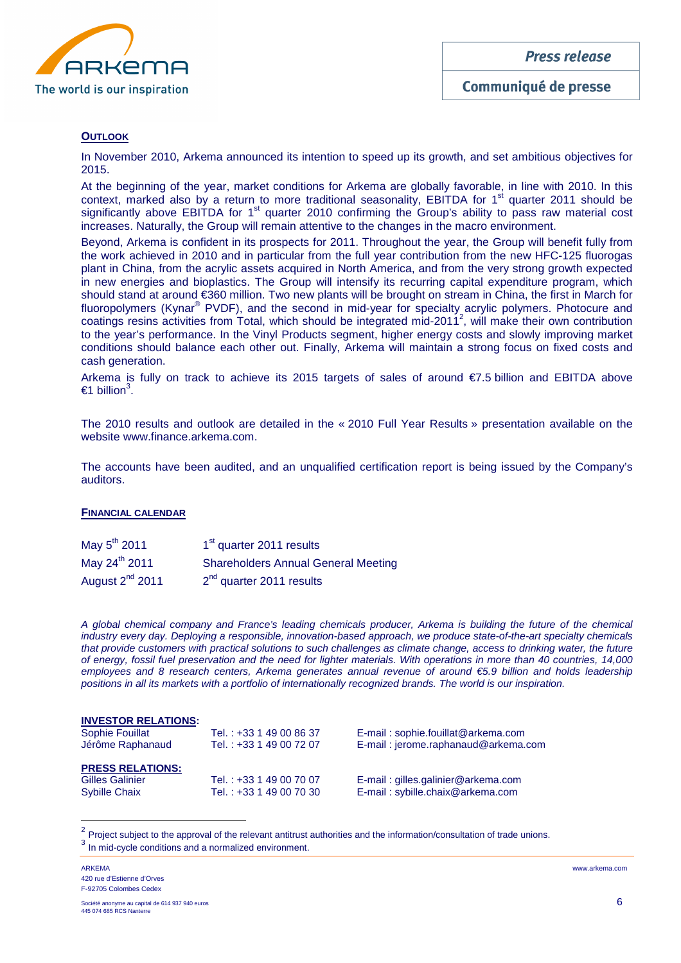

Communiqué de presse

## **OUTLOOK**

In November 2010, Arkema announced its intention to speed up its growth, and set ambitious objectives for 2015.

At the beginning of the year, market conditions for Arkema are globally favorable, in line with 2010. In this context, marked also by a return to more traditional seasonality. EBITDA for 1<sup>st</sup> quarter 2011 should be significantly above EBITDA for 1<sup>st</sup> quarter 2010 confirming the Group's ability to pass raw material cost increases. Naturally, the Group will remain attentive to the changes in the macro environment.

Beyond, Arkema is confident in its prospects for 2011. Throughout the year, the Group will benefit fully from the work achieved in 2010 and in particular from the full year contribution from the new HFC-125 fluorogas plant in China, from the acrylic assets acquired in North America, and from the very strong growth expected in new energies and bioplastics. The Group will intensify its recurring capital expenditure program, which should stand at around €360 million. Two new plants will be brought on stream in China, the first in March for fluoropolymers (Kynar® PVDF), and the second in mid-year for specialty acrylic polymers. Photocure and coatings resins activities from Total, which should be integrated mid-2011<sup>2</sup>, will make their own contribution to the year's performance. In the Vinyl Products segment, higher energy costs and slowly improving market conditions should balance each other out. Finally, Arkema will maintain a strong focus on fixed costs and cash generation.

Arkema is fully on track to achieve its 2015 targets of sales of around €7.5 billion and EBITDA above  $€1$  billion<sup>3</sup>.

The 2010 results and outlook are detailed in the « 2010 Full Year Results » presentation available on the website www.finance.arkema.com.

The accounts have been audited, and an unqualified certification report is being issued by the Company's auditors.

#### **FINANCIAL CALENDAR**

| May 5 <sup>th</sup> 2011    | 1 <sup>st</sup> quarter 2011 results       |
|-----------------------------|--------------------------------------------|
| May 24 <sup>th</sup> 2011   | <b>Shareholders Annual General Meeting</b> |
| August 2 <sup>nd</sup> 2011 | $2nd$ quarter 2011 results                 |

A global chemical company and France's leading chemicals producer, Arkema is building the future of the chemical industry every day. Deploying a responsible, innovation-based approach, we produce state-of-the-art specialty chemicals that provide customers with practical solutions to such challenges as climate change, access to drinking water, the future of energy, fossil fuel preservation and the need for lighter materials. With operations in more than 40 countries, 14,000 employees and 8 research centers, Arkema generates annual revenue of around €5.9 billion and holds leadership positions in all its markets with a portfolio of internationally recognized brands. The world is our inspiration.

#### **INVESTOR RELATIONS:**

| <b>Sophie Fouillat</b>  | Tel.: +33 1 49 00 86 37 | E-mail: sophie.fouillat@arkema.com  |
|-------------------------|-------------------------|-------------------------------------|
| Jérôme Raphanaud        | Tel.: +33 1 49 00 72 07 | E-mail: jerome.raphanaud@arkema.com |
|                         |                         |                                     |
| <b>PRESS RELATIONS:</b> |                         |                                     |
| <b>Gilles Galinier</b>  | Tel.: +33 1 49 00 70 07 | E-mail: gilles.galinier@arkema.com  |
| <b>Sybille Chaix</b>    | Tel.: +33 1 49 00 70 30 | E-mail: sybille.chaix@arkema.com    |
|                         |                         |                                     |

2 Project subject to the approval of the relevant antitrust authorities and the information/consultation of trade unions. <sup>3</sup> In mid-cycle conditions and a normalized environment.

ARKEMA www.arkema.com 420 rue d'Estienne d'Orves F-92705 Colombes Cedex

 $\overline{a}$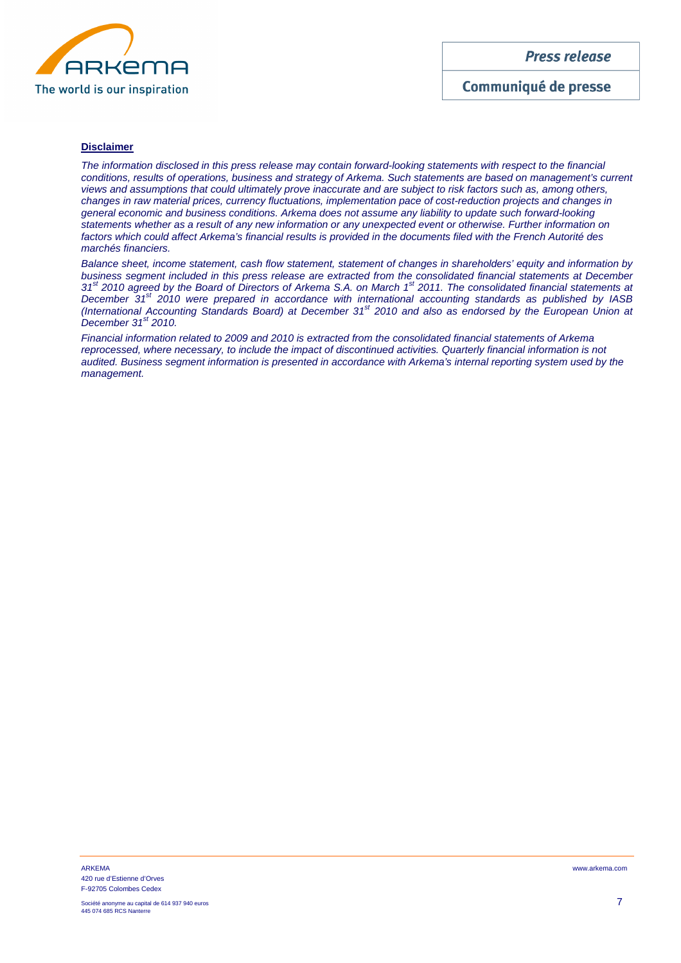

Communiqué de presse

# **Disclaimer**

The information disclosed in this press release may contain forward-looking statements with respect to the financial conditions, results of operations, business and strategy of Arkema. Such statements are based on management's current views and assumptions that could ultimately prove inaccurate and are subject to risk factors such as, among others, changes in raw material prices, currency fluctuations, implementation pace of cost-reduction projects and changes in general economic and business conditions. Arkema does not assume any liability to update such forward-looking statements whether as a result of any new information or any unexpected event or otherwise. Further information on factors which could affect Arkema's financial results is provided in the documents filed with the French Autorité des marchés financiers.

Balance sheet, income statement, cash flow statement, statement of changes in shareholders' equity and information by business segment included in this press release are extracted from the consolidated financial statements at December 31<sup>st</sup> 2010 agreed by the Board of Directors of Arkema S.A. on March 1<sup>st</sup> 2011. The consolidated financial statements at December  $31^{st}$  2010 were prepared in accordance with international accounting standards as published by IASB (International Accounting Standards Board) at December 31st 2010 and also as endorsed by the European Union at December  $31<sup>st</sup>$  2010.

Financial information related to 2009 and 2010 is extracted from the consolidated financial statements of Arkema reprocessed, where necessary, to include the impact of discontinued activities. Quarterly financial information is not audited. Business segment information is presented in accordance with Arkema's internal reporting system used by the management.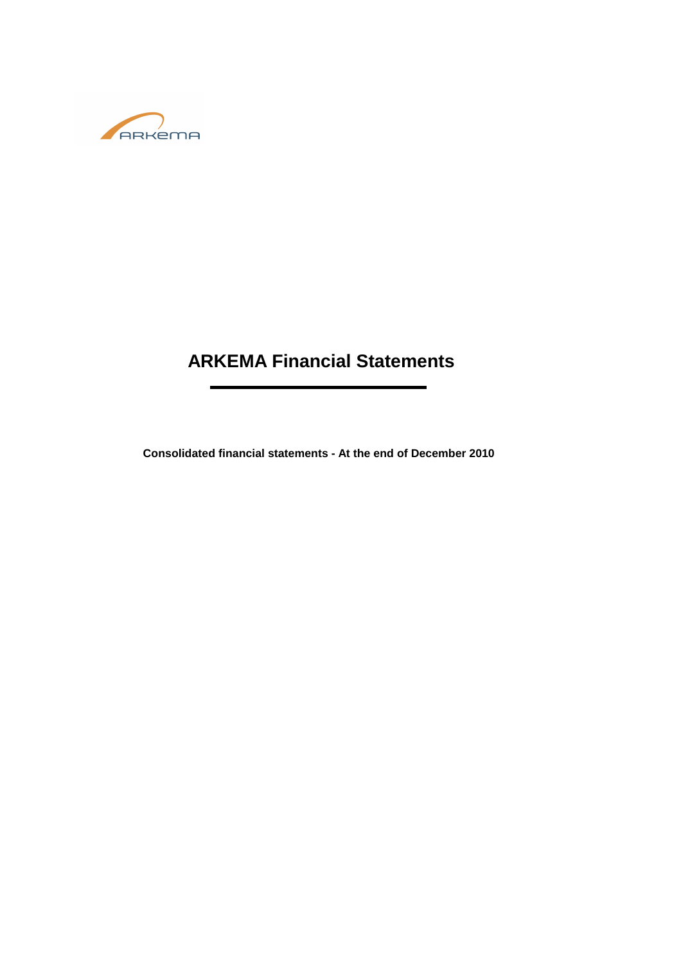

# **ARKEMA Financial Statements**

**Consolidated financial statements - At the end of December 2010**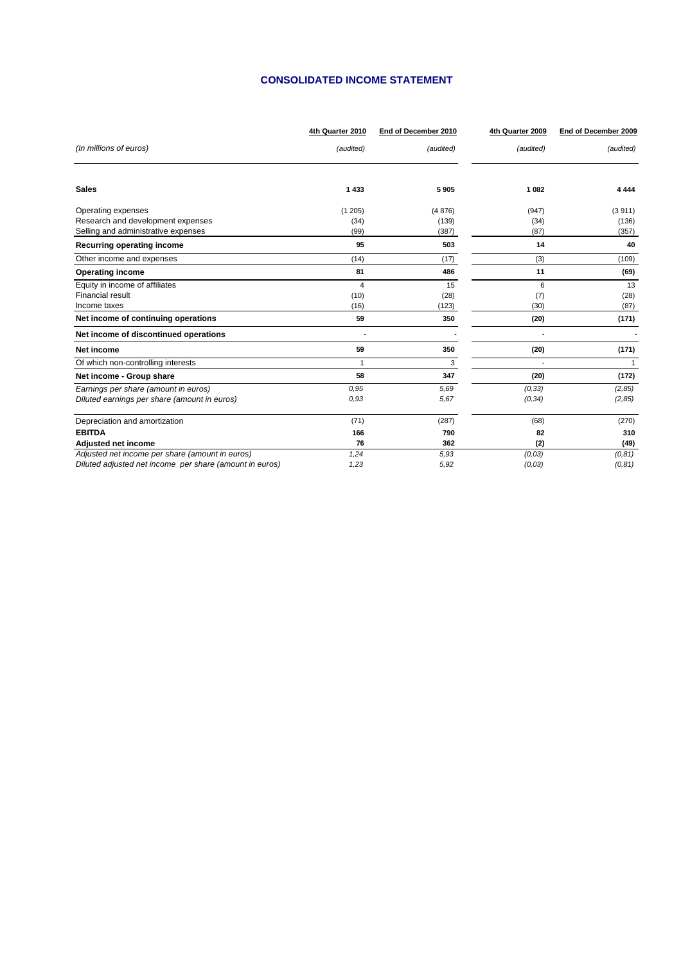## **CONSOLIDATED INCOME STATEMENT**

|                                                         | 4th Quarter 2010 | End of December 2010 | 4th Quarter 2009 | End of December 2009 |
|---------------------------------------------------------|------------------|----------------------|------------------|----------------------|
| (In millions of euros)                                  | (audited)        | (audited)            | (audited)        | (audited)            |
|                                                         |                  |                      |                  |                      |
| <b>Sales</b>                                            | 1433             | 5905                 | 1 0 8 2          | 4 4 4 4              |
| Operating expenses                                      | (1205)           | (4876)               | (947)            | (3911)               |
| Research and development expenses                       | (34)             | (139)                | (34)             | (136)                |
| Selling and administrative expenses                     | (99)             | (387)                | (87)             | (357)                |
| Recurring operating income                              | 95               | 503                  | 14               | 40                   |
| Other income and expenses                               | (14)             | (17)                 | (3)              | (109)                |
| <b>Operating income</b>                                 | 81               | 486                  | 11               | (69)                 |
| Equity in income of affiliates                          | $\overline{4}$   | 15                   | 6                | 13                   |
| <b>Financial result</b>                                 | (10)             | (28)                 | (7)              | (28)                 |
| Income taxes                                            | (16)             | (123)                | (30)             | (87)                 |
| Net income of continuing operations                     | 59               | 350                  | (20)             | (171)                |
| Net income of discontinued operations                   |                  |                      |                  |                      |
| <b>Net income</b>                                       | 59               | 350                  | (20)             | (171)                |
| Of which non-controlling interests                      | 1                | 3                    |                  | $\mathbf{1}$         |
| Net income - Group share                                | 58               | 347                  | (20)             | (172)                |
| Earnings per share (amount in euros)                    | 0.95             | 5.69                 | (0, 33)          | (2, 85)              |
| Diluted earnings per share (amount in euros)            | 0.93             | 5.67                 | (0, 34)          | (2, 85)              |
| Depreciation and amortization                           | (71)             | (287)                | (68)             | (270)                |
| <b>EBITDA</b>                                           | 166              | 790                  | 82               | 310                  |
| Adjusted net income                                     | 76               | 362                  | (2)              | (49)                 |
| Adjusted net income per share (amount in euros)         | 1,24             | 5.93                 | (0,03)           | (0, 81)              |
| Diluted adjusted net income per share (amount in euros) | 1,23             | 5.92                 | (0,03)           | (0, 81)              |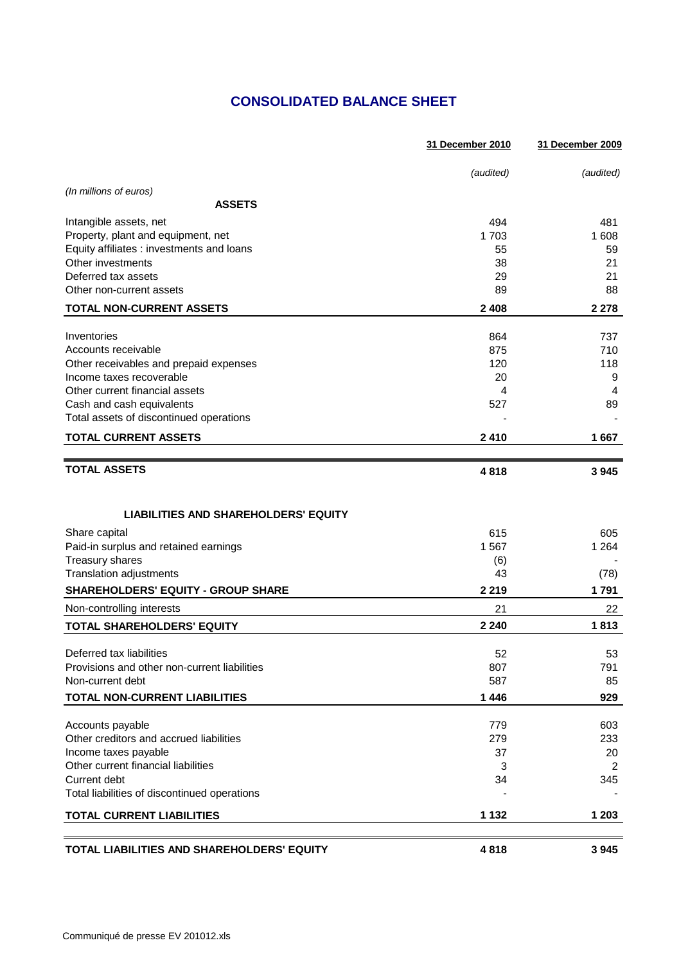# **CONSOLIDATED BALANCE SHEET**

|                                                             | 31 December 2010 | 31 December 2009 |
|-------------------------------------------------------------|------------------|------------------|
|                                                             | (audited)        | (audited)        |
| (In millions of euros)                                      |                  |                  |
| <b>ASSETS</b>                                               |                  |                  |
| Intangible assets, net                                      | 494              | 481              |
| Property, plant and equipment, net                          | 1703             | 1 608            |
| Equity affiliates : investments and loans                   | 55               | 59               |
| Other investments                                           | 38               | 21               |
| Deferred tax assets                                         | 29               | 21               |
| Other non-current assets                                    | 89               | 88               |
| <b>TOTAL NON-CURRENT ASSETS</b>                             | 2 4 0 8          | 2 2 7 8          |
| Inventories                                                 | 864              | 737              |
| Accounts receivable                                         | 875              | 710              |
| Other receivables and prepaid expenses                      | 120              | 118              |
| Income taxes recoverable                                    | 20               | 9                |
| Other current financial assets                              | 4                | $\overline{4}$   |
| Cash and cash equivalents                                   | 527              | 89               |
| Total assets of discontinued operations                     |                  |                  |
| <b>TOTAL CURRENT ASSETS</b>                                 | 2 4 1 0          | 1667             |
|                                                             |                  |                  |
| <b>TOTAL ASSETS</b>                                         | 4818             | 3 9 4 5          |
| <b>LIABILITIES AND SHAREHOLDERS' EQUITY</b>                 |                  |                  |
| Share capital                                               | 615              | 605              |
| Paid-in surplus and retained earnings                       | 1 5 6 7          | 1 2 6 4          |
| Treasury shares                                             | (6)              |                  |
| Translation adjustments                                     | 43               | (78)             |
| <b>SHAREHOLDERS' EQUITY - GROUP SHARE</b>                   | 2 2 1 9          | 1791             |
| Non-controlling interests                                   | 21               | 22               |
| TOTAL SHAREHOLDERS' EQUITY                                  | 2 2 4 0          | 1813             |
| Deferred tax liabilities                                    | 52               | 53               |
| Provisions and other non-current liabilities                | 807              | 791              |
| Non-current debt                                            | 587              | 85               |
| <b>TOTAL NON-CURRENT LIABILITIES</b>                        | 1 4 4 6          | 929              |
|                                                             |                  |                  |
| Accounts payable<br>Other creditors and accrued liabilities | 779<br>279       | 603<br>233       |
| Income taxes payable                                        | 37               | 20               |
| Other current financial liabilities                         | 3                | 2                |
| Current debt                                                | 34               | 345              |
| Total liabilities of discontinued operations                |                  |                  |
| <b>TOTAL CURRENT LIABILITIES</b>                            | 1 1 3 2          | 1 203            |
|                                                             |                  |                  |
| TOTAL LIABILITIES AND SHAREHOLDERS' EQUITY                  | 4818             | 3 9 4 5          |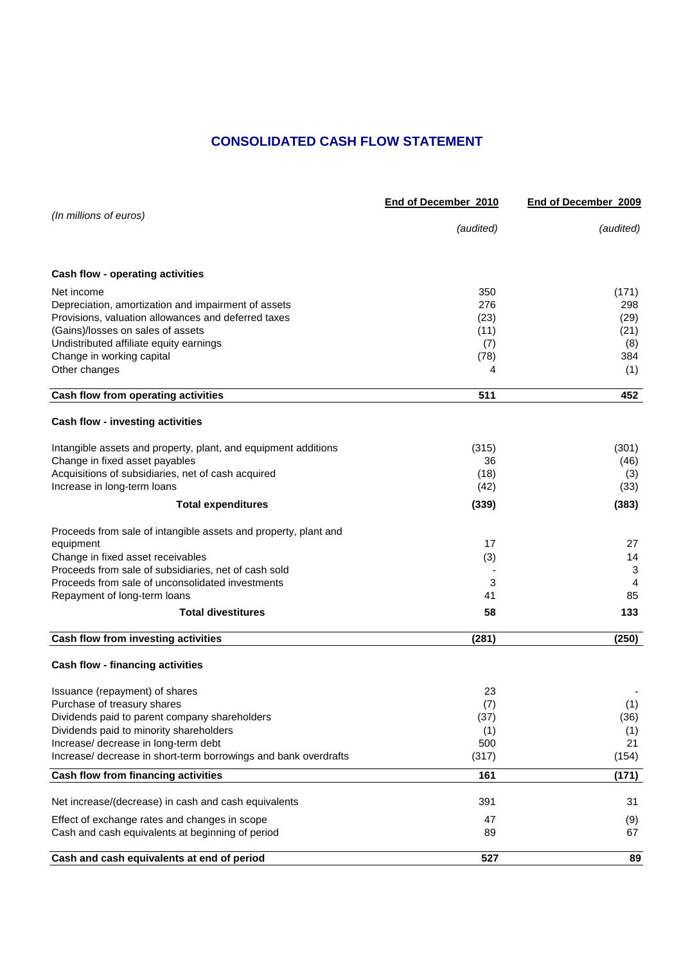# **CONSOLIDATED CASH FLOW STATEMENT**

|                                                                 | End of December 2010 | End of December 2009 |
|-----------------------------------------------------------------|----------------------|----------------------|
| (In millions of euros)                                          | (audited)            | (audited)            |
| Cash flow - operating activities                                |                      |                      |
| Net income                                                      | 350                  | (171)                |
| Depreciation, amortization and impairment of assets             | 276                  | 298                  |
| Provisions, valuation allowances and deferred taxes             | (23)                 | (29)                 |
| (Gains)/losses on sales of assets                               | (11)                 | (21)                 |
| Undistributed affiliate equity earnings                         | (7)                  | (8)                  |
| Change in working capital                                       | (78)<br>4            | 384                  |
| Other changes                                                   |                      | (1)                  |
| Cash flow from operating activities                             | 511                  | 452                  |
| <b>Cash flow - investing activities</b>                         |                      |                      |
| Intangible assets and property, plant, and equipment additions  | (315)                | (301)                |
| Change in fixed asset payables                                  | 36                   | (46)                 |
| Acquisitions of subsidiaries, net of cash acquired              | (18)                 | (3)                  |
| Increase in long-term loans                                     | (42)                 | (33)                 |
| <b>Total expenditures</b>                                       | (339)                | (383)                |
| Proceeds from sale of intangible assets and property, plant and |                      |                      |
| equipment                                                       | 17                   | 27                   |
| Change in fixed asset receivables                               | (3)                  | 14                   |
| Proceeds from sale of subsidiaries, net of cash sold            |                      | 3                    |
| Proceeds from sale of unconsolidated investments                | 3                    | 4                    |
| Repayment of long-term loans                                    | 41                   | 85                   |
| <b>Total divestitures</b>                                       | 58                   | 133                  |
| Cash flow from investing activities                             | (281)                | (250)                |
| <b>Cash flow - financing activities</b>                         |                      |                      |
| Issuance (repayment) of shares                                  | 23                   |                      |
| Purchase of treasury shares                                     | (7)                  | (1)                  |
| Dividends paid to parent company shareholders                   | (37)                 | (36)                 |
| Dividends paid to minority shareholders                         | (1)                  | (1)                  |
| Increase/ decrease in long-term debt                            | 500                  | 21                   |
| Increase/ decrease in short-term borrowings and bank overdrafts | (317)                | (154)                |
| Cash flow from financing activities                             | 161                  | (171)                |
| Net increase/(decrease) in cash and cash equivalents            | 391                  | 31                   |
| Effect of exchange rates and changes in scope                   | 47                   | (9)                  |
| Cash and cash equivalents at beginning of period                | 89                   | 67                   |
| Cash and cash equivalents at end of period                      | 527                  | 89                   |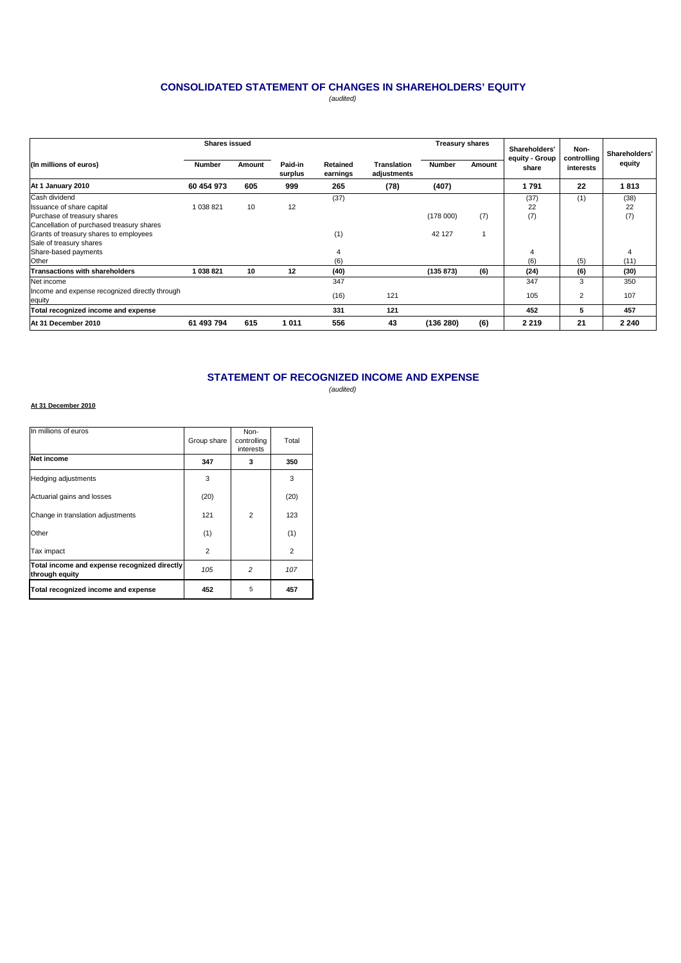# **CONSOLIDATED STATEMENT OF CHANGES IN SHAREHOLDERS' EQUITY**

(audited)

|                                                | <b>Shares issued</b> |        |                    |                      | <b>Treasury shares</b>            |               |        |                                          |                                  |                         |
|------------------------------------------------|----------------------|--------|--------------------|----------------------|-----------------------------------|---------------|--------|------------------------------------------|----------------------------------|-------------------------|
| (In millions of euros)                         | <b>Number</b>        | Amount | Paid-in<br>surplus | Retained<br>earnings | <b>Translation</b><br>adjustments | <b>Number</b> | Amount | Shareholders'<br>equity - Group<br>share | Non-<br>controlling<br>interests | Shareholders'<br>equity |
| At 1 January 2010                              | 60 454 973           | 605    | 999                | 265                  | (78)                              | (407)         |        | 1791                                     | 22                               | 1813                    |
| Cash dividend                                  |                      |        |                    | (37)                 |                                   |               |        | (37)                                     | (1)                              | (38)                    |
| Issuance of share capital                      | 1 038 821            | 10     | 12                 |                      |                                   |               |        | 22                                       |                                  | 22                      |
| Purchase of treasury shares                    |                      |        |                    |                      |                                   | (178000)      | (7)    | (7)                                      |                                  | (7)                     |
| Cancellation of purchased treasury shares      |                      |        |                    |                      |                                   |               |        |                                          |                                  |                         |
| Grants of treasury shares to employees         |                      |        |                    | (1)                  |                                   | 42 127        |        |                                          |                                  |                         |
| Sale of treasury shares                        |                      |        |                    |                      |                                   |               |        |                                          |                                  |                         |
| Share-based payments                           |                      |        |                    |                      |                                   |               |        | 4                                        |                                  |                         |
| Other                                          |                      |        |                    | (6)                  |                                   |               |        | (6)                                      | (5)                              | (11)                    |
| <b>Transactions with shareholders</b>          | 1038821              | 10     | 12                 | (40)                 |                                   | (135 873)     | (6)    | (24)                                     | (6)                              | (30)                    |
| Net income                                     |                      |        |                    | 347                  |                                   |               |        | 347                                      | 3                                | 350                     |
| Income and expense recognized directly through |                      |        |                    |                      | 121                               |               |        | 105                                      |                                  | 107                     |
| equity                                         |                      |        |                    | (16)                 |                                   |               |        |                                          | 2                                |                         |
| Total recognized income and expense            |                      |        |                    | 331                  | 121                               |               |        | 452                                      | 5                                | 457                     |
| At 31 December 2010                            | 61 493 794           | 615    | 1011               | 556                  | 43                                | (136 280)     | (6)    | 2 2 1 9                                  | 21                               | 2 2 4 0                 |

# **STATEMENT OF RECOGNIZED INCOME AND EXPENSE**

(audited)

#### **At 31 December 2010**

| In millions of euros                                           | Group share    | Non-<br>controlling<br>interests | Total          |
|----------------------------------------------------------------|----------------|----------------------------------|----------------|
| Net income                                                     | 347            | 3                                | 350            |
| Hedging adjustments                                            | 3              |                                  | 3              |
| Actuarial gains and losses                                     | (20)           |                                  | (20)           |
| Change in translation adjustments                              | 121            | $\overline{2}$                   | 123            |
| Other                                                          | (1)            |                                  | (1)            |
| Tax impact                                                     | $\overline{2}$ |                                  | $\overline{2}$ |
| Total income and expense recognized directly<br>through equity | 105            | $\overline{c}$                   | 107            |
| Total recognized income and expense                            | 452            | 5                                | 457            |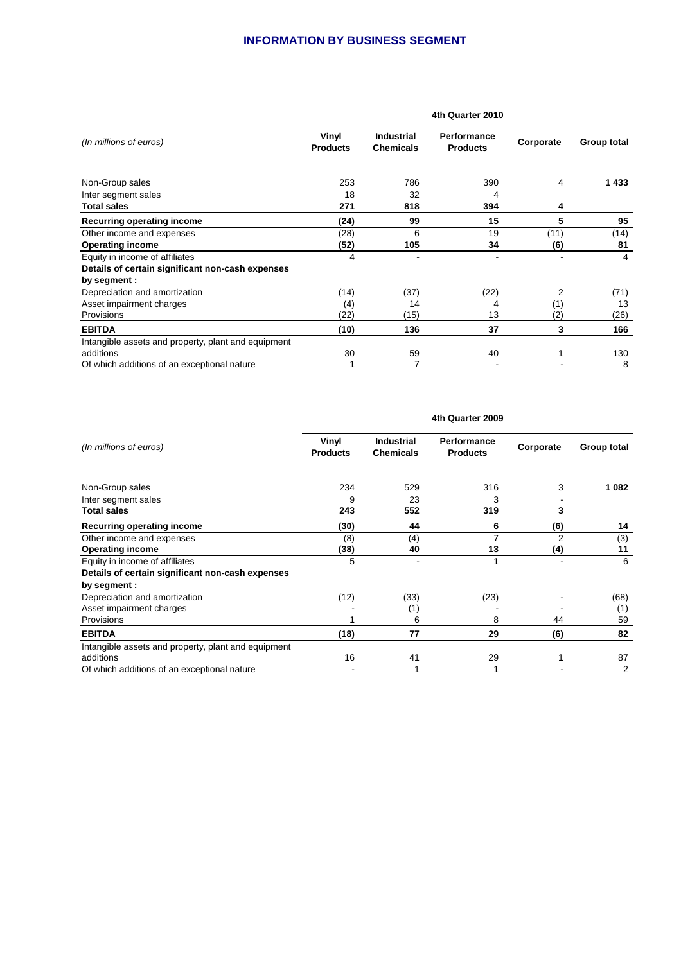# **INFORMATION BY BUSINESS SEGMENT**

|                                                     | 4th Quarter 2010         |                                       |                                       |           |             |  |  |  |
|-----------------------------------------------------|--------------------------|---------------------------------------|---------------------------------------|-----------|-------------|--|--|--|
| (In millions of euros)                              | Vinyl<br><b>Products</b> | <b>Industrial</b><br><b>Chemicals</b> | <b>Performance</b><br><b>Products</b> | Corporate | Group total |  |  |  |
| Non-Group sales                                     | 253                      | 786                                   | 390                                   | 4         | 1433        |  |  |  |
| Inter segment sales                                 | 18                       | 32                                    | 4                                     |           |             |  |  |  |
| <b>Total sales</b>                                  | 271                      | 818                                   | 394                                   | 4         |             |  |  |  |
| Recurring operating income                          | (24)                     | 99                                    | 15                                    | 5         | 95          |  |  |  |
| Other income and expenses                           | (28)                     | 6                                     | 19                                    | (11)      | (14)        |  |  |  |
| <b>Operating income</b>                             | (52)                     | 105                                   | 34                                    | (6)       | 81          |  |  |  |
| Equity in income of affiliates                      | 4                        |                                       | $\blacksquare$                        |           | 4           |  |  |  |
| Details of certain significant non-cash expenses    |                          |                                       |                                       |           |             |  |  |  |
| by segment :                                        |                          |                                       |                                       |           |             |  |  |  |
| Depreciation and amortization                       | (14)                     | (37)                                  | (22)                                  | 2         | (71)        |  |  |  |
| Asset impairment charges                            | (4)                      | 14                                    | 4                                     | (1)       | 13          |  |  |  |
| Provisions                                          | (22)                     | (15)                                  | 13                                    | (2)       | (26)        |  |  |  |
| <b>EBITDA</b>                                       | (10)                     | 136                                   | 37                                    | 3         | 166         |  |  |  |
| Intangible assets and property, plant and equipment |                          |                                       |                                       |           |             |  |  |  |
| additions                                           | 30                       | 59                                    | 40                                    |           | 130         |  |  |  |
| Of which additions of an exceptional nature         |                          | 7                                     |                                       |           | 8           |  |  |  |

|                                                     | 4th Quarter 2009         |                                       |                                       |           |             |  |  |
|-----------------------------------------------------|--------------------------|---------------------------------------|---------------------------------------|-----------|-------------|--|--|
| (In millions of euros)                              | Vinyl<br><b>Products</b> | <b>Industrial</b><br><b>Chemicals</b> | <b>Performance</b><br><b>Products</b> | Corporate | Group total |  |  |
| Non-Group sales                                     | 234                      | 529                                   | 316                                   | 3         | 1 0 8 2     |  |  |
| Inter segment sales                                 | 9                        | 23                                    | 3                                     |           |             |  |  |
| <b>Total sales</b>                                  | 243                      | 552                                   | 319                                   | 3         |             |  |  |
| <b>Recurring operating income</b>                   | (30)                     | 44                                    | 6                                     | (6)       | 14          |  |  |
| Other income and expenses                           | (8)                      | (4)                                   | 7                                     | 2         | (3)         |  |  |
| <b>Operating income</b>                             | (38)                     | 40                                    | 13                                    | (4)       | 11          |  |  |
| Equity in income of affiliates                      | 5                        |                                       | 1                                     |           | 6           |  |  |
| Details of certain significant non-cash expenses    |                          |                                       |                                       |           |             |  |  |
| by segment :                                        |                          |                                       |                                       |           |             |  |  |
| Depreciation and amortization                       | (12)                     | (33)                                  | (23)                                  |           | (68)        |  |  |
| Asset impairment charges                            |                          | (1)                                   |                                       |           | (1)         |  |  |
| Provisions                                          |                          | 6                                     | 8                                     | 44        | 59          |  |  |
| <b>EBITDA</b>                                       | (18)                     | 77                                    | 29                                    | (6)       | 82          |  |  |
| Intangible assets and property, plant and equipment |                          |                                       |                                       |           |             |  |  |
| additions                                           | 16                       | 41                                    | 29                                    |           | 87          |  |  |
| Of which additions of an exceptional nature         |                          |                                       |                                       |           | 2           |  |  |